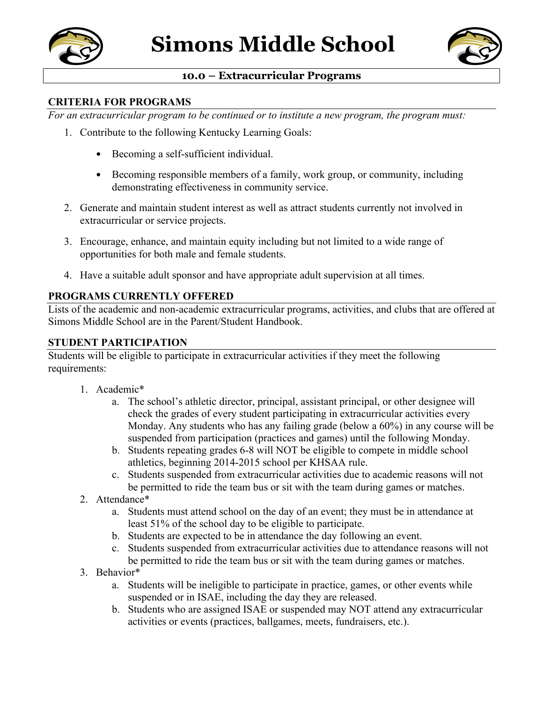



## **10.0 – Extracurricular Programs**

### **CRITERIA FOR PROGRAMS**

*For an extracurricular program to be continued or to institute a new program, the program must:*

- 1. Contribute to the following Kentucky Learning Goals:
	- Becoming a self-sufficient individual.
	- Becoming responsible members of a family, work group, or community, including demonstrating effectiveness in community service.
- 2. Generate and maintain student interest as well as attract students currently not involved in extracurricular or service projects.
- 3. Encourage, enhance, and maintain equity including but not limited to a wide range of opportunities for both male and female students.
- 4. Have a suitable adult sponsor and have appropriate adult supervision at all times.

### **PROGRAMS CURRENTLY OFFERED**

Lists of the academic and non-academic extracurricular programs, activities, and clubs that are offered at Simons Middle School are in the Parent/Student Handbook.

#### **STUDENT PARTICIPATION**

Students will be eligible to participate in extracurricular activities if they meet the following requirements:

- 1. Academic\*
	- a. The school's athletic director, principal, assistant principal, or other designee will check the grades of every student participating in extracurricular activities every Monday. Any students who has any failing grade (below a 60%) in any course will be suspended from participation (practices and games) until the following Monday.
	- b. Students repeating grades 6-8 will NOT be eligible to compete in middle school athletics, beginning 2014-2015 school per KHSAA rule.
	- c. Students suspended from extracurricular activities due to academic reasons will not be permitted to ride the team bus or sit with the team during games or matches.
- 2. Attendance\*
	- a. Students must attend school on the day of an event; they must be in attendance at least 51% of the school day to be eligible to participate.
	- b. Students are expected to be in attendance the day following an event.
	- c. Students suspended from extracurricular activities due to attendance reasons will not be permitted to ride the team bus or sit with the team during games or matches.
- 3. Behavior\*
	- a. Students will be ineligible to participate in practice, games, or other events while suspended or in ISAE, including the day they are released.
	- b. Students who are assigned ISAE or suspended may NOT attend any extracurricular activities or events (practices, ballgames, meets, fundraisers, etc.).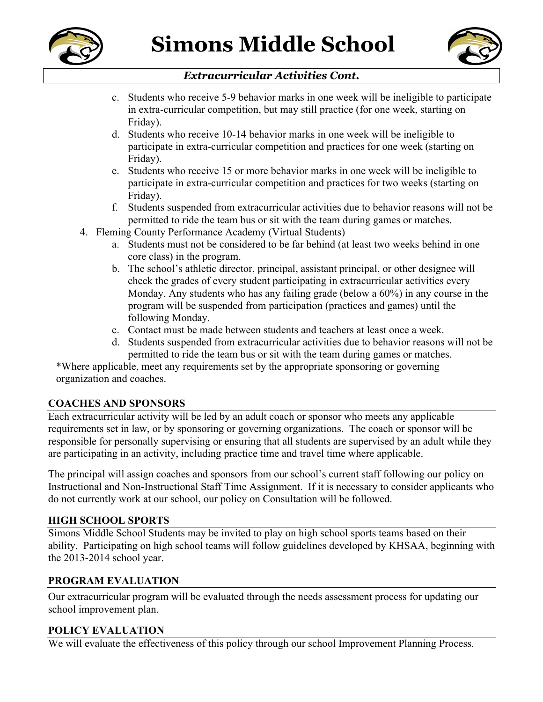



# *Extracurricular Activities Cont.*

- c. Students who receive 5-9 behavior marks in one week will be ineligible to participate in extra-curricular competition, but may still practice (for one week, starting on Friday).
- d. Students who receive 10-14 behavior marks in one week will be ineligible to participate in extra-curricular competition and practices for one week (starting on Friday).
- e. Students who receive 15 or more behavior marks in one week will be ineligible to participate in extra-curricular competition and practices for two weeks (starting on Friday).
- f. Students suspended from extracurricular activities due to behavior reasons will not be permitted to ride the team bus or sit with the team during games or matches.
- 4. Fleming County Performance Academy (Virtual Students)
	- a. Students must not be considered to be far behind (at least two weeks behind in one core class) in the program.
	- b. The school's athletic director, principal, assistant principal, or other designee will check the grades of every student participating in extracurricular activities every Monday. Any students who has any failing grade (below a 60%) in any course in the program will be suspended from participation (practices and games) until the following Monday.
	- c. Contact must be made between students and teachers at least once a week.
	- d. Students suspended from extracurricular activities due to behavior reasons will not be permitted to ride the team bus or sit with the team during games or matches.

\*Where applicable, meet any requirements set by the appropriate sponsoring or governing organization and coaches.

## **COACHES AND SPONSORS**

Each extracurricular activity will be led by an adult coach or sponsor who meets any applicable requirements set in law, or by sponsoring or governing organizations. The coach or sponsor will be responsible for personally supervising or ensuring that all students are supervised by an adult while they are participating in an activity, including practice time and travel time where applicable.

The principal will assign coaches and sponsors from our school's current staff following our policy on Instructional and Non-Instructional Staff Time Assignment. If it is necessary to consider applicants who do not currently work at our school, our policy on Consultation will be followed.

### **HIGH SCHOOL SPORTS**

Simons Middle School Students may be invited to play on high school sports teams based on their ability. Participating on high school teams will follow guidelines developed by KHSAA, beginning with the 2013-2014 school year.

## **PROGRAM EVALUATION**

Our extracurricular program will be evaluated through the needs assessment process for updating our school improvement plan.

### **POLICY EVALUATION**

We will evaluate the effectiveness of this policy through our school Improvement Planning Process.